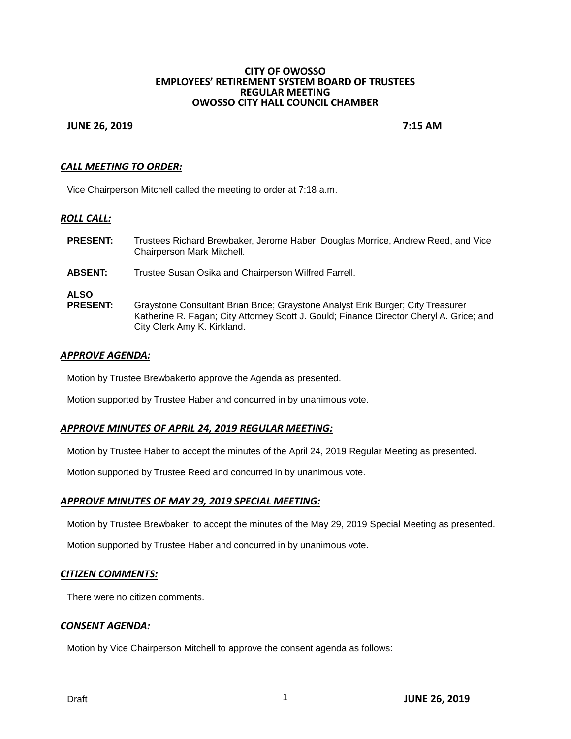#### **CITY OF OWOSSO EMPLOYEES' RETIREMENT SYSTEM BOARD OF TRUSTEES REGULAR MEETING OWOSSO CITY HALL COUNCIL CHAMBER**

## **JUNE 26, 2019 7:15 AM**

## *CALL MEETING TO ORDER:*

Vice Chairperson Mitchell called the meeting to order at 7:18 a.m.

## *ROLL CALL:*

| <b>PRESENT:</b>                | Trustees Richard Brewbaker, Jerome Haber, Douglas Morrice, Andrew Reed, and Vice<br>Chairperson Mark Mitchell.                                                                                            |
|--------------------------------|-----------------------------------------------------------------------------------------------------------------------------------------------------------------------------------------------------------|
| <b>ABSENT:</b>                 | Trustee Susan Osika and Chairperson Wilfred Farrell.                                                                                                                                                      |
| <b>ALSO</b><br><b>PRESENT:</b> | Graystone Consultant Brian Brice; Graystone Analyst Erik Burger; City Treasurer<br>Katherine R. Fagan; City Attorney Scott J. Gould; Finance Director Cheryl A. Grice; and<br>City Clerk Amy K. Kirkland. |

# *APPROVE AGENDA:*

Motion by Trustee Brewbakerto approve the Agenda as presented.

Motion supported by Trustee Haber and concurred in by unanimous vote.

### *APPROVE MINUTES OF APRIL 24, 2019 REGULAR MEETING:*

Motion by Trustee Haber to accept the minutes of the April 24, 2019 Regular Meeting as presented.

Motion supported by Trustee Reed and concurred in by unanimous vote.

#### *APPROVE MINUTES OF MAY 29, 2019 SPECIAL MEETING:*

Motion by Trustee Brewbaker to accept the minutes of the May 29, 2019 Special Meeting as presented.

Motion supported by Trustee Haber and concurred in by unanimous vote.

## *CITIZEN COMMENTS:*

There were no citizen comments.

#### *CONSENT AGENDA:*

Motion by Vice Chairperson Mitchell to approve the consent agenda as follows: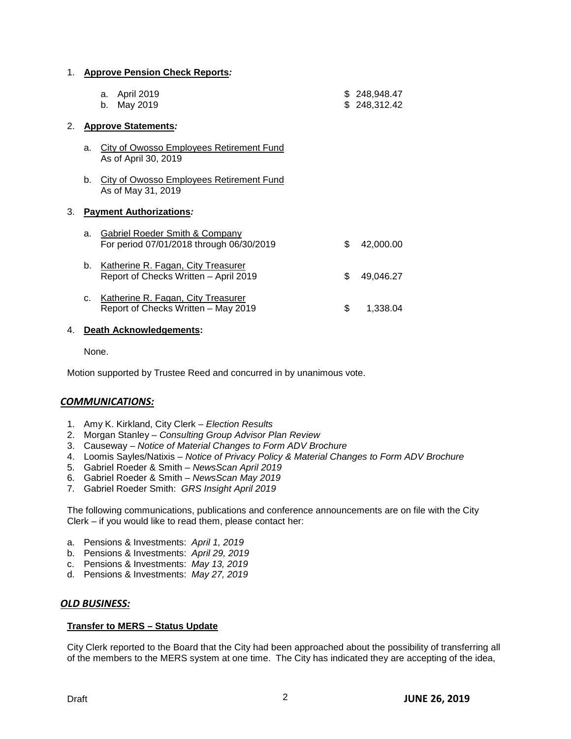#### 1. **Approve Pension Check Reports***:*

| a. April 2019 | \$248,948.47 |
|---------------|--------------|
| b. May 2019   | \$248,312.42 |

### 2. **Approve Statements***:*

- a. City of Owosso Employees Retirement Fund As of April 30, 2019
- b. City of Owosso Employees Retirement Fund As of May 31, 2019

## 3. **Payment Authorizations***:*

| a. | Gabriel Roeder Smith & Company<br>For period 07/01/2018 through 06/30/2019  | S.  | 42,000.00 |
|----|-----------------------------------------------------------------------------|-----|-----------|
| b. | Katherine R. Fagan, City Treasurer<br>Report of Checks Written - April 2019 | S.  | 49.046.27 |
| C. | Katherine R. Fagan, City Treasurer<br>Report of Checks Written - May 2019   | SS. | 1.338.04  |

#### 4. **Death Acknowledgements:**

None.

Motion supported by Trustee Reed and concurred in by unanimous vote.

## *COMMUNICATIONS:*

- 1. Amy K. Kirkland, City Clerk *Election Results*
- 2. Morgan Stanley *Consulting Group Advisor Plan Review*
- 3. Causeway *Notice of Material Changes to Form ADV Brochure*
- 4. Loomis Sayles/Natixis *Notice of Privacy Policy & Material Changes to Form ADV Brochure*
- 5. Gabriel Roeder & Smith *NewsScan April 2019*
- 6. Gabriel Roeder & Smith *NewsScan May 2019*
- 7. Gabriel Roeder Smith: *GRS Insight April 2019*

The following communications, publications and conference announcements are on file with the City Clerk – if you would like to read them, please contact her:

- a. Pensions & Investments: *April 1, 2019*
- b. Pensions & Investments: *April 29, 2019*
- c. Pensions & Investments: *May 13, 2019*
- d. Pensions & Investments: *May 27, 2019*

## *OLD BUSINESS:*

#### **Transfer to MERS – Status Update**

City Clerk reported to the Board that the City had been approached about the possibility of transferring all of the members to the MERS system at one time. The City has indicated they are accepting of the idea,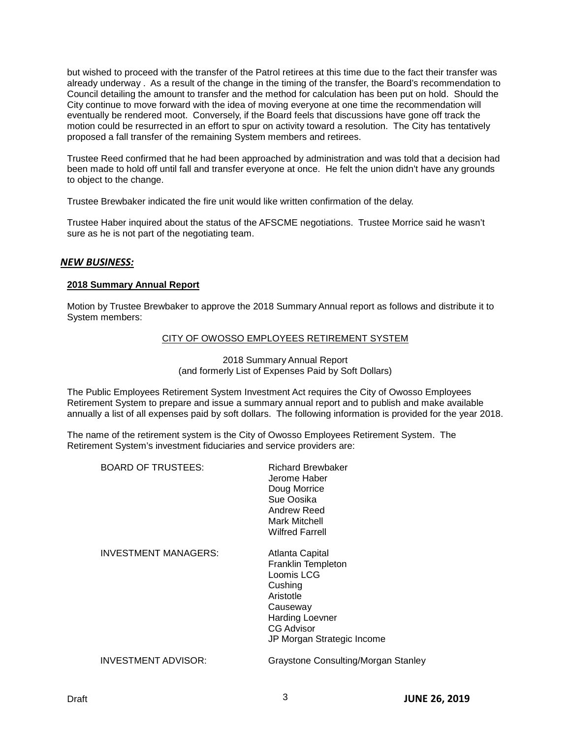but wished to proceed with the transfer of the Patrol retirees at this time due to the fact their transfer was already underway . As a result of the change in the timing of the transfer, the Board's recommendation to Council detailing the amount to transfer and the method for calculation has been put on hold. Should the City continue to move forward with the idea of moving everyone at one time the recommendation will eventually be rendered moot. Conversely, if the Board feels that discussions have gone off track the motion could be resurrected in an effort to spur on activity toward a resolution. The City has tentatively proposed a fall transfer of the remaining System members and retirees.

Trustee Reed confirmed that he had been approached by administration and was told that a decision had been made to hold off until fall and transfer everyone at once. He felt the union didn't have any grounds to object to the change.

Trustee Brewbaker indicated the fire unit would like written confirmation of the delay.

Trustee Haber inquired about the status of the AFSCME negotiations. Trustee Morrice said he wasn't sure as he is not part of the negotiating team.

## *NEW BUSINESS:*

## **2018 Summary Annual Report**

Motion by Trustee Brewbaker to approve the 2018 Summary Annual report as follows and distribute it to System members:

## CITY OF OWOSSO EMPLOYEES RETIREMENT SYSTEM

2018 Summary Annual Report (and formerly List of Expenses Paid by Soft Dollars)

The Public Employees Retirement System Investment Act requires the City of Owosso Employees Retirement System to prepare and issue a summary annual report and to publish and make available annually a list of all expenses paid by soft dollars. The following information is provided for the year 2018.

The name of the retirement system is the City of Owosso Employees Retirement System. The Retirement System's investment fiduciaries and service providers are:

BOARD OF TRUSTEES: Richard Brewbaker

Jerome Haber Doug Morrice Sue Oosika Andrew Reed Mark Mitchell Wilfred Farrell

INVESTMENT MANAGERS: Atlanta Capital

Franklin Templeton Loomis LCG Cushing Aristotle **Causeway** Harding Loevner CG Advisor JP Morgan Strategic Income

INVESTMENT ADVISOR: Graystone Consulting/Morgan Stanley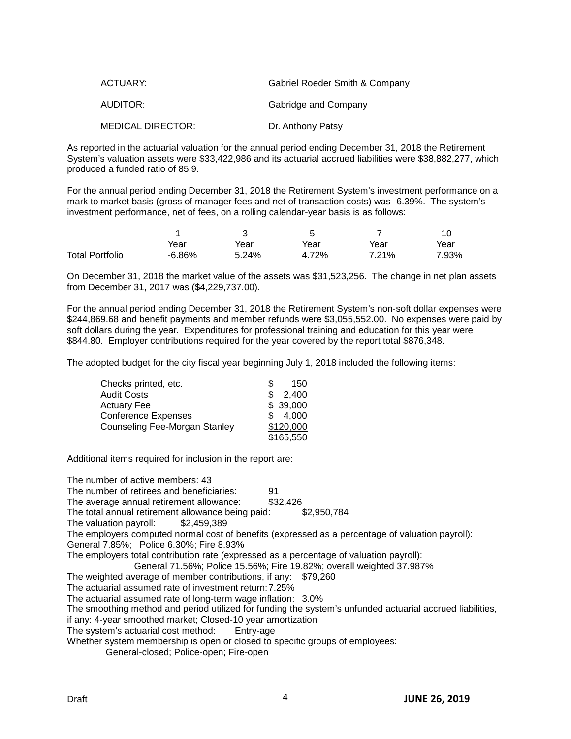| ACTUARY:                 | Gabriel Roeder Smith & Company |
|--------------------------|--------------------------------|
| AUDITOR:                 | Gabridge and Company           |
| <b>MEDICAL DIRECTOR:</b> | Dr. Anthony Patsy              |

As reported in the actuarial valuation for the annual period ending December 31, 2018 the Retirement System's valuation assets were \$33,422,986 and its actuarial accrued liabilities were \$38,882,277, which produced a funded ratio of 85.9.

For the annual period ending December 31, 2018 the Retirement System's investment performance on a mark to market basis (gross of manager fees and net of transaction costs) was -6.39%. The system's investment performance, net of fees, on a rolling calendar-year basis is as follows:

|                        | Year      | Year  | Year  | Year  | Year  |
|------------------------|-----------|-------|-------|-------|-------|
| <b>Total Portfolio</b> | $-6.86\%$ | 5.24% | 4.72% | 7.21% | 7.93% |

On December 31, 2018 the market value of the assets was \$31,523,256. The change in net plan assets from December 31, 2017 was (\$4,229,737.00).

For the annual period ending December 31, 2018 the Retirement System's non-soft dollar expenses were \$244,869.68 and benefit payments and member refunds were \$3,055,552.00. No expenses were paid by soft dollars during the year. Expenditures for professional training and education for this year were \$844.80. Employer contributions required for the year covered by the report total \$876,348.

The adopted budget for the city fiscal year beginning July 1, 2018 included the following items:

| Checks printed, etc.                 | S   | 150       |
|--------------------------------------|-----|-----------|
| <b>Audit Costs</b>                   | S.  | 2,400     |
| <b>Actuary Fee</b>                   |     | \$39,000  |
| <b>Conference Expenses</b>           | \$. | 4,000     |
| <b>Counseling Fee-Morgan Stanley</b> |     | \$120,000 |
|                                      |     | \$165,550 |

Additional items required for inclusion in the report are:

The number of active members: 43 The number of retirees and beneficiaries: 91 The average annual retirement allowance: \$32,426 The total annual retirement allowance being paid: \$2,950,784<br>The valuation payroll: \$2,459,389 The valuation payroll: The employers computed normal cost of benefits (expressed as a percentage of valuation payroll): General 7.85%; Police 6.30%; Fire 8.93% The employers total contribution rate (expressed as a percentage of valuation payroll): General 71.56%; Police 15.56%; Fire 19.82%; overall weighted 37.987% The weighted average of member contributions, if any: \$79,260 The actuarial assumed rate of investment return:7.25% The actuarial assumed rate of long-term wage inflation: 3.0% The smoothing method and period utilized for funding the system's unfunded actuarial accrued liabilities, if any: 4-year smoothed market; Closed-10 year amortization<br>The system's actuarial cost method: Entry-age The system's actuarial cost method: Whether system membership is open or closed to specific groups of employees: General-closed; Police-open; Fire-open